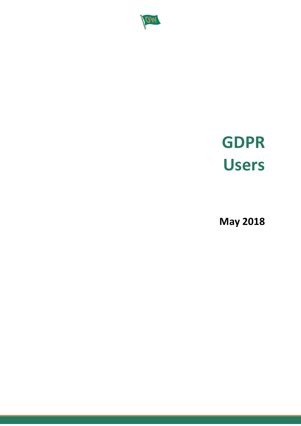

# **GDPR Users**

**May 2018**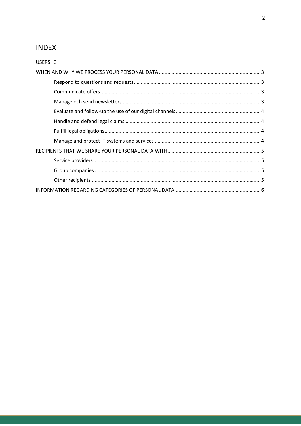## **INDEX**

| USERS 3 |  |
|---------|--|
|         |  |
|         |  |
|         |  |
|         |  |
|         |  |
|         |  |
|         |  |
|         |  |
|         |  |
|         |  |
|         |  |
|         |  |
|         |  |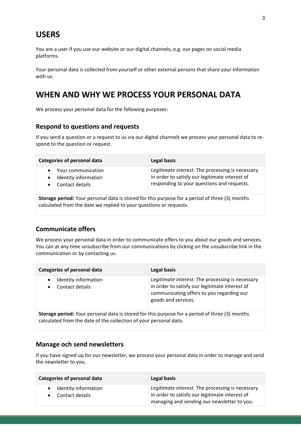### <span id="page-2-0"></span>**USERS**

You are a user if you use our website or our digital channels, e.g. our pages on social media platforms.

Your personal data is collected from yourself or other external persons that share your information with us.

## <span id="page-2-1"></span>**WHEN AND WHY WE PROCESS YOUR PERSONAL DATA**

<span id="page-2-2"></span>We process your personal data for the following purposes:

#### **Respond to questions and requests**

If you send a question or a request to us via our digital channels we process your personal data to respond to the question or request.

| Categories of personal data | Legal basis                                      |
|-----------------------------|--------------------------------------------------|
| • Your communication        | Legitimate interest. The processing is necessary |
| Identity information        | in order to satisfy our legitimate interest of   |
| Contact details             | responding to your questions and requests.       |

**Storage period:** Your personal data is stored for this purpose for a period of three (3) months calculated from the date we replied to your questions or requests.

#### <span id="page-2-3"></span>**Communicate offers**

We process your personal data in order to communicate offers to you about our goods and services. You can at any time unsubscribe from our communications by clicking on the unsubscribe link in the communication or by contacting us.

| Categories of personal data             | Legal basis                                                                                                                                                            |
|-----------------------------------------|------------------------------------------------------------------------------------------------------------------------------------------------------------------------|
| Identity information<br>Contact details | Legitimate interest. The processing is necessary<br>in order to satisfy our legitimate interest of<br>communicating offers to you regarding our<br>goods and services. |

**Storage period:** Your personal data is stored for this purpose for a period of three (3) months calculated from the date of the collection of your personal data.

#### <span id="page-2-4"></span>**Manage och send newsletters**

If you have signed up for our newsletter, we process your personal data in order to manage and send the newsletter to you.

| Categories of personal data                 | Legal basis                                                                                        |
|---------------------------------------------|----------------------------------------------------------------------------------------------------|
| • Identity information<br>• Contact details | Legitimate interest. The processing is necessary<br>in order to satisfy our legitimate interest of |
|                                             | managing and sending our newsletter to you.                                                        |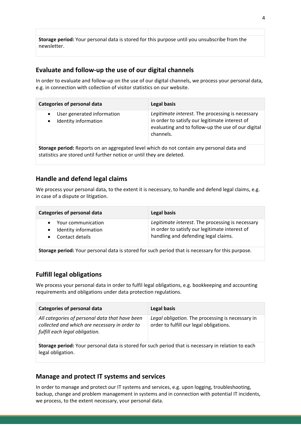**Storage period:** Your personal data is stored for this purpose until you unsubscribe from the newsletter.

#### <span id="page-3-0"></span>**Evaluate and follow-up the use of our digital channels**

In order to evaluate and follow-up on the use of our digital channels, we process your personal data, e.g. in connection with collection of visitor statistics on our website.

| <b>Categories of personal data</b>                                                        | Legal basis                                                                                                                                                           |  |
|-------------------------------------------------------------------------------------------|-----------------------------------------------------------------------------------------------------------------------------------------------------------------------|--|
| User generated information<br>Identity information                                        | Legitimate interest. The processing is necessary<br>in order to satisfy our legitimate interest of<br>evaluating and to follow-up the use of our digital<br>channels. |  |
| Storage period: Reports on an aggregated level which do not contain any personal data and |                                                                                                                                                                       |  |

statistics are stored until further notice or until they are deleted.

#### <span id="page-3-1"></span>**Handle and defend legal claims**

We process your personal data, to the extent it is necessary, to handle and defend legal claims, e.g. in case of a dispute or litigation.

| <b>Categories of personal data</b>                                                               | Legal basis                                                                                                                                |  |
|--------------------------------------------------------------------------------------------------|--------------------------------------------------------------------------------------------------------------------------------------------|--|
| Your communication<br>Identity information<br>$\bullet$<br>Contact details                       | Legitimate interest. The processing is necessary<br>in order to satisfy our legitimate interest of<br>handling and defending legal claims. |  |
| Storage period: Your personal data is stored for such period that is necessary for this purpose. |                                                                                                                                            |  |

#### <span id="page-3-2"></span>**Fulfill legal obligations**

We process your personal data in order to fulfil legal obligations, e.g. bookkeeping and accounting requirements and obligations under data protection regulations.

| Categories of personal data                                                                                                       | <b>Legal basis</b>                                                                          |  |
|-----------------------------------------------------------------------------------------------------------------------------------|---------------------------------------------------------------------------------------------|--|
| All categories of personal data that have been<br>collected and which are necessary in order to<br>fulfill each legal obligation. | Legal obligation. The processing is necessary in<br>order to fulfill our legal obligations. |  |
| Storage period: Your personal data is stored for such period that is necessary in relation to each<br>legal obligation.           |                                                                                             |  |

#### <span id="page-3-3"></span>**Manage and protect IT systems and services**

In order to manage and protect our IT systems and services, e.g. upon logging, troubleshooting, backup, change and problem management in systems and in connection with potential IT incidents, we process, to the extent necessary, your personal data.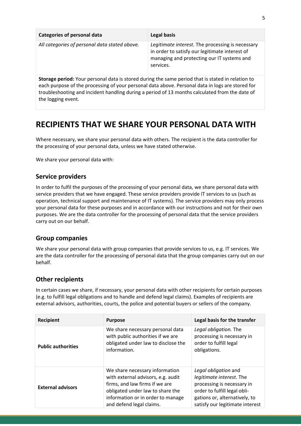| Categories of personal data                   | Legal basis                                                                                                                                                   |
|-----------------------------------------------|---------------------------------------------------------------------------------------------------------------------------------------------------------------|
| All categories of personal data stated above. | Legitimate interest. The processing is necessary<br>in order to satisfy our legitimate interest of<br>managing and protecting our IT systems and<br>services. |
|                                               |                                                                                                                                                               |

**Storage period:** Your personal data is stored during the same period that is stated in relation to each purpose of the processing of your personal data above. Personal data in logs are stored for troubleshooting and incident handling during a period of 13 months calculated from the date of the logging event.

## <span id="page-4-0"></span>**RECIPIENTS THAT WE SHARE YOUR PERSONAL DATA WITH**

Where necessary, we share your personal data with others. The recipient is the data controller for the processing of your personal data, unless we have stated otherwise.

<span id="page-4-1"></span>We share your personal data with:

#### **Service providers**

In order to fulfil the purposes of the processing of your personal data, we share personal data with service providers that we have engaged. These service providers provide IT services to us (such as operation, technical support and maintenance of IT systems). The service providers may only process your personal data for these purposes and in accordance with our instructions and not for their own purposes. We are the data controller for the processing of personal data that the service providers carry out on our behalf.

#### <span id="page-4-2"></span>**Group companies**

We share your personal data with group companies that provide services to us, e.g. IT services. We are the data controller for the processing of personal data that the group companies carry out on our behalf.

#### <span id="page-4-3"></span>**Other recipients**

In certain cases we share, if necessary, your personal data with other recipients for certain purposes (e.g. to fulfill legal obligations and to handle and defend legal claims). Examples of recipients are external advisors, authorities, courts, the police and potential buyers or sellers of the company.

| <b>Recipient</b>          | <b>Purpose</b>                                                                                                                                                                                              | Legal basis for the transfer                                                                                                                                                       |
|---------------------------|-------------------------------------------------------------------------------------------------------------------------------------------------------------------------------------------------------------|------------------------------------------------------------------------------------------------------------------------------------------------------------------------------------|
| <b>Public authorities</b> | We share necessary personal data<br>with public authorities if we are<br>obligated under law to disclose the<br>information.                                                                                | Legal obligation. The<br>processing is necessary in<br>order to fulfill legal<br>obligations.                                                                                      |
| <b>External advisors</b>  | We share necessary information<br>with external advisors, e.g. audit<br>firms, and law firms if we are<br>obligated under law to share the<br>information or in order to manage<br>and defend legal claims. | Legal obligation and<br>legitimate interest. The<br>processing is necessary in<br>order to fulfill legal obli-<br>gations or, alternatively, to<br>satisfy our legitimate interest |